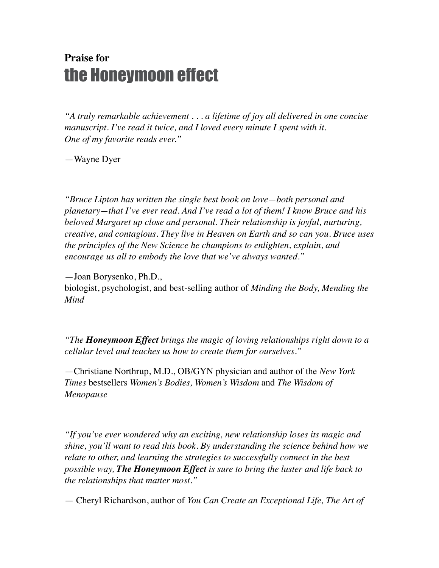## **Praise for** the Honeymoon effect

*"A truly remarkable achievement . . . a lifetime of joy all delivered in one concise manuscript. I've read it twice, and I loved every minute I spent with it. One of my favorite reads ever."*

—Wayne Dyer

*"Bruce Lipton has written the single best book on love—both personal and planetary—that I've ever read. And I've read a lot of them! I know Bruce and his beloved Margaret up close and personal. Their relationship is joyful, nurturing, creative, and contagious. They live in Heaven on Earth and so can you. Bruce uses the principles of the New Science he champions to enlighten, explain, and encourage us all to embody the love that we've always wanted."*

—Joan Borysenko, Ph.D.,

biologist, psychologist, and best-selling author of *Minding the Body, Mending the Mind*

*"The Honeymoon Effect brings the magic of loving relationships right down to a cellular level and teaches us how to create them for ourselves."*

—Christiane Northrup, M.D., OB/GYN physician and author of the *New York Times* bestsellers *Women's Bodies, Women's Wisdom* and *The Wisdom of Menopause*

*"If you've ever wondered why an exciting, new relationship loses its magic and shine, you'll want to read this book. By understanding the science behind how we relate to other, and learning the strategies to successfully connect in the best possible way, The Honeymoon Effect is sure to bring the luster and life back to the relationships that matter most."*

— Cheryl Richardson, author of *You Can Create an Exceptional Life, The Art of*